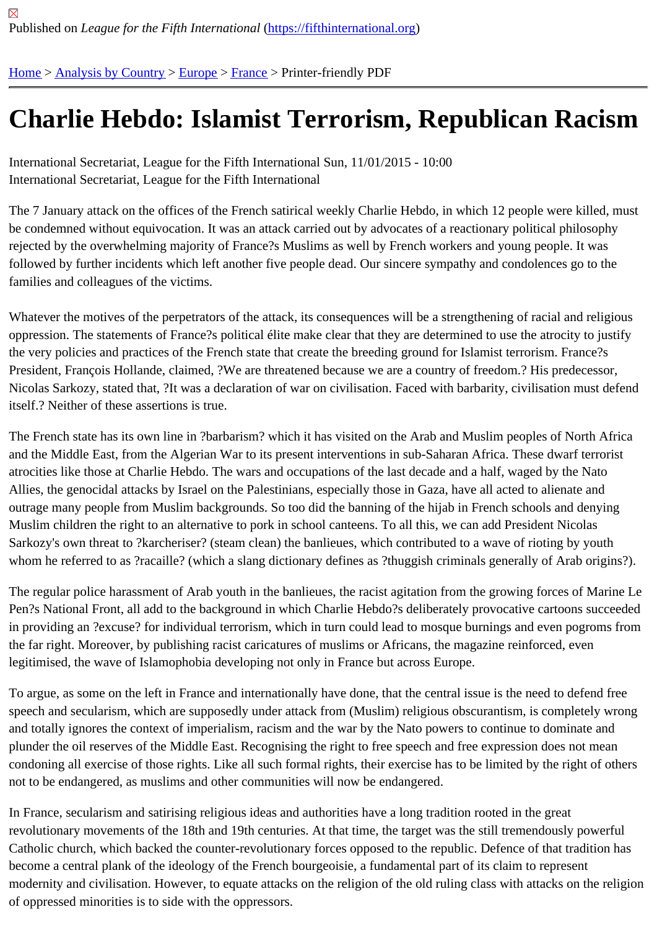## [Ch](https://fifthinternational.org/)[arlie Hebdo](https://fifthinternational.org/category/1)[: Isl](https://fifthinternational.org/category/1/128)[amis](https://fifthinternational.org/category/1/128/144)t Terrorism, Republican Racism

International Secretariat, League for the Fifth International Sun, 11/01/2015 - 10:00 International Secretariat, League for the Fifth International

The 7 January attack on the offices of the French satirical weekly Charlie Hebdo, in which 12 people were killed, n be condemned without equivocation. It was an attack carried out by advocates of a reactionary political philosophy rejected by the overwhelming majority of France?s Muslims as well by French workers and young people. It was followed by further incidents which left another five people dead. Our sincere sympathy and condolences go to the families and colleagues of the victims.

Whatever the motives of the perpetrators of the attack, its consequences will be a strengthening of racial and relig oppression. The statements of France?s political élite make clear that they are determined to use the atrocity to ju the very policies and practices of the French state that create the breeding ground for Islamist terrorism. France?s President, François Hollande, claimed, ?We are threatened because we are a country of freedom.? His predecess Nicolas Sarkozy, stated that, ?It was a declaration of war on civilisation. Faced with barbarity, civilisation must def itself.? Neither of these assertions is true.

The French state has its own line in ?barbarism? which it has visited on the Arab and Muslim peoples of North Afri and the Middle East, from the Algerian War to its present interventions in sub-Saharan Africa. These dwarf terroris atrocities like those at Charlie Hebdo. The wars and occupations of the last decade and a half, waged by the Nato Allies, the genocidal attacks by Israel on the Palestinians, especially those in Gaza, have all acted to alienate and outrage many people from Muslim backgrounds. So too did the banning of the hijab in French schools and denying Muslim children the right to an alternative to pork in school canteens. To all this, we can add President Nicolas Sarkozy's own threat to ?karcheriser? (steam clean) the banlieues, which contributed to a wave of rioting by youth whom he referred to as ?racaille? (which a slang dictionary defines as ?thuggish criminals generally of Arab origin

The regular police harassment of Arab youth in the banlieues, the racist agitation from the growing forces of Marin Pen?s National Front, all add to the background in which Charlie Hebdo?s deliberately provocative cartoons succe in providing an ?excuse? for individual terrorism, which in turn could lead to mosque burnings and even pogroms f the far right. Moreover, by publishing racist caricatures of muslims or Africans, the magazine reinforced, even legitimised, the wave of Islamophobia developing not only in France but across Europe.

To argue, as some on the left in France and internationally have done, that the central issue is the need to defend speech and secularism, which are supposedly under attack from (Muslim) religious obscurantism, is completely wi and totally ignores the context of imperialism, racism and the war by the Nato powers to continue to dominate and plunder the oil reserves of the Middle East. Recognising the right to free speech and free expression does not mea condoning all exercise of those rights. Like all such formal rights, their exercise has to be limited by the right of oth not to be endangered, as muslims and other communities will now be endangered.

In France, secularism and satirising religious ideas and authorities have a long tradition rooted in the great revolutionary movements of the 18th and 19th centuries. At that time, the target was the still tremendously powerfu Catholic church, which backed the counter-revolutionary forces opposed to the republic. Defence of that tradition h become a central plank of the ideology of the French bourgeoisie, a fundamental part of its claim to represent modernity and civilisation. However, to equate attacks on the religion of the old ruling class with attacks on the reli of oppressed minorities is to side with the oppressors.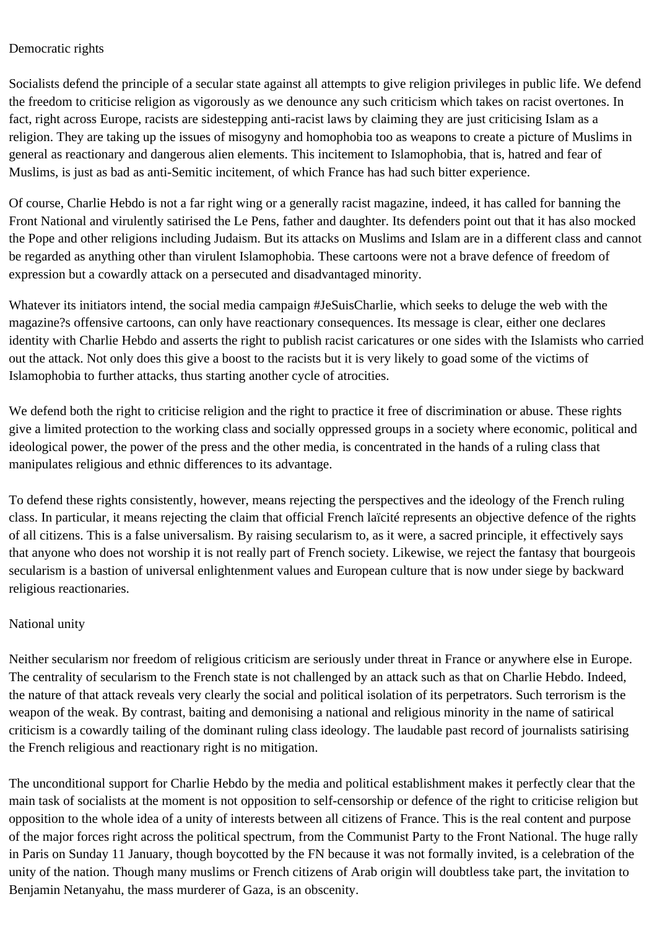## Democratic rights

Socialists defend the principle of a secular state against all attempts to give religion privileges in public life. We defend the freedom to criticise religion as vigorously as we denounce any such criticism which takes on racist overtones. In fact, right across Europe, racists are sidestepping anti-racist laws by claiming they are just criticising Islam as a religion. They are taking up the issues of misogyny and homophobia too as weapons to create a picture of Muslims in general as reactionary and dangerous alien elements. This incitement to Islamophobia, that is, hatred and fear of Muslims, is just as bad as anti-Semitic incitement, of which France has had such bitter experience.

Of course, Charlie Hebdo is not a far right wing or a generally racist magazine, indeed, it has called for banning the Front National and virulently satirised the Le Pens, father and daughter. Its defenders point out that it has also mocked the Pope and other religions including Judaism. But its attacks on Muslims and Islam are in a different class and cannot be regarded as anything other than virulent Islamophobia. These cartoons were not a brave defence of freedom of expression but a cowardly attack on a persecuted and disadvantaged minority.

Whatever its initiators intend, the social media campaign #JeSuisCharlie, which seeks to deluge the web with the magazine?s offensive cartoons, can only have reactionary consequences. Its message is clear, either one declares identity with Charlie Hebdo and asserts the right to publish racist caricatures or one sides with the Islamists who carried out the attack. Not only does this give a boost to the racists but it is very likely to goad some of the victims of Islamophobia to further attacks, thus starting another cycle of atrocities.

We defend both the right to criticise religion and the right to practice it free of discrimination or abuse. These rights give a limited protection to the working class and socially oppressed groups in a society where economic, political and ideological power, the power of the press and the other media, is concentrated in the hands of a ruling class that manipulates religious and ethnic differences to its advantage.

To defend these rights consistently, however, means rejecting the perspectives and the ideology of the French ruling class. In particular, it means rejecting the claim that official French laïcité represents an objective defence of the rights of all citizens. This is a false universalism. By raising secularism to, as it were, a sacred principle, it effectively says that anyone who does not worship it is not really part of French society. Likewise, we reject the fantasy that bourgeois secularism is a bastion of universal enlightenment values and European culture that is now under siege by backward religious reactionaries.

## National unity

Neither secularism nor freedom of religious criticism are seriously under threat in France or anywhere else in Europe. The centrality of secularism to the French state is not challenged by an attack such as that on Charlie Hebdo. Indeed, the nature of that attack reveals very clearly the social and political isolation of its perpetrators. Such terrorism is the weapon of the weak. By contrast, baiting and demonising a national and religious minority in the name of satirical criticism is a cowardly tailing of the dominant ruling class ideology. The laudable past record of journalists satirising the French religious and reactionary right is no mitigation.

The unconditional support for Charlie Hebdo by the media and political establishment makes it perfectly clear that the main task of socialists at the moment is not opposition to self-censorship or defence of the right to criticise religion but opposition to the whole idea of a unity of interests between all citizens of France. This is the real content and purpose of the major forces right across the political spectrum, from the Communist Party to the Front National. The huge rally in Paris on Sunday 11 January, though boycotted by the FN because it was not formally invited, is a celebration of the unity of the nation. Though many muslims or French citizens of Arab origin will doubtless take part, the invitation to Benjamin Netanyahu, the mass murderer of Gaza, is an obscenity.